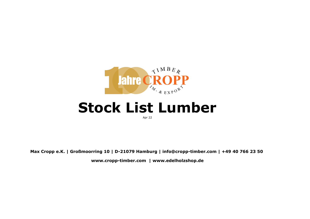

## **Stock List Lumber**

Apr 22

**Max Cropp e.K. | Großmoorring 10 | D-21079 Hamburg | info@cropp-timber.com | +49 40 766 23 50 www.cropp-timber.com | www.edelholzshop.de**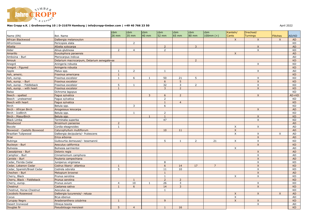

## **Max Cropp e.K. | Großmoorring 10 | D-21079 Hamburg | info@cropp-timber.com | +49 40 766 23 50**

| Name (EN)                   | Bot. Name                                  | cbm<br>26 mm   | cbm<br>35 mm   | cbm<br>40 mm | cbm<br>52 mm   | cbm<br>65 mm   | cbm<br>80 mm   | cbm<br>$100mm (+)$ | Kanteln/<br>Cants         | Drechsel/<br><b>Turnings</b> | <b>Flitches</b> | AD/KD     |
|-----------------------------|--------------------------------------------|----------------|----------------|--------------|----------------|----------------|----------------|--------------------|---------------------------|------------------------------|-----------------|-----------|
| African Blackwood           | Dalbergia melanoxylon                      |                |                |              |                |                |                |                    | $\mathsf{X}$              | $\mathsf{X}$                 | $\mathsf{X}$    | <b>AD</b> |
| Afrormosia                  | Pericopsis elata                           |                | $\overline{2}$ |              |                |                |                |                    |                           |                              |                 | KD        |
| Afzelia                     | Afzelia xylocarpa                          |                |                |              | $\overline{2}$ |                | $\overline{3}$ |                    |                           | $\mathsf{X}$                 |                 | AD        |
| Alder                       | Alnus glutinosa                            | 2              | $\overline{4}$ |              | $\overline{2}$ |                |                |                    |                           | $\times$                     |                 | <b>KD</b> |
| Amarillo                    | Euxylophora paraensis                      |                |                |              |                |                |                |                    | $\times$                  |                              |                 | AD        |
| Amboina - Burl              | Pterocarpus indicus                        |                |                |              |                |                |                |                    |                           |                              |                 | AD        |
| Amouk                       | Detarium macrocarpum, Detarium senegalense |                |                |              |                |                | $\overline{2}$ |                    |                           |                              |                 | KD        |
| Anegré                      | Aningeria robusta                          |                |                |              |                |                |                |                    |                           | $\times$                     |                 | <b>KD</b> |
| Anegré - Figured            | Aningeria robusta                          |                |                |              |                |                |                |                    |                           |                              |                 | <b>KD</b> |
| Apple                       | Malus spp.                                 | 1              | $\overline{2}$ |              | 1              |                |                |                    |                           | $\mathsf{X}$                 |                 | AD        |
| Ash, americ.                | Fraxinus americana                         | $\mathbf{1}$   |                |              |                |                |                |                    |                           |                              |                 | <b>KD</b> |
| Ash, europ.                 | Fraxinus excelsior                         | $\mathbf{1}$   | 6              | $\mathbf{1}$ | 50             | 21             | 5              |                    |                           | $\mathsf{X}$                 |                 | <b>KD</b> |
| Ash, europ. - Burl          | Fraxinus excelsior                         |                |                |              | 6              | 5              |                |                    |                           | X                            |                 | <b>KD</b> |
| Ash, europ. - Fiddleback    | Fraxinus excelsior                         | 5              |                |              | 32             | 3              | $\overline{2}$ |                    |                           | $\pmb{\times}$               |                 | KD        |
| Ash, europ. - with heart    | raxinus excelsior                          | $\mathbf{1}$   |                |              | $\overline{3}$ | $\overline{2}$ |                |                    |                           | $\mathsf{X}$                 |                 | <b>KD</b> |
| <b>Balsa</b>                | Ochroma lagopus                            |                |                |              |                |                |                |                    |                           |                              |                 | KD        |
| Beech - spalted             | Fagus sylvatica                            |                |                | 3            | 6              | $\overline{2}$ |                |                    |                           | $\mathsf{X}$                 |                 | $AD+KD$   |
| Beech - unsteamed           | Fagus sylvatica                            |                |                |              | $\overline{2}$ |                |                |                    |                           |                              |                 | <b>KD</b> |
| Beech with heart            | Fagus sylvatica                            |                |                |              | $\mathbf{1}$   | $\overline{4}$ |                |                    |                           |                              |                 | <b>KD</b> |
| <b>Birch</b>                | Betula spp.                                |                | 3              |              | 6              |                |                |                    |                           |                              |                 | <b>KD</b> |
| Birch - African Birch       | Anogeissus leiocarpa                       |                |                |              |                |                |                |                    |                           | $\mathsf{X}$                 |                 | <b>AD</b> |
| Birch - IceBirch            | Betula spp.                                |                | $\mathbf{1}$   |              | 2              |                |                |                    |                           |                              |                 | <b>KD</b> |
| Birch - MasurBirch          | Betula spp.                                |                |                | $\mathbf{1}$ | 1              |                |                |                    |                           | $\mathsf{X}$                 |                 | <b>KD</b> |
| <b>Black Limba</b>          | Terminalia superba                         |                |                |              | 47             |                |                |                    |                           | X                            |                 | KD        |
| Bloodwood                   | Brosimum paraense                          | $\overline{2}$ |                |              |                |                |                |                    |                           |                              |                 | AD        |
| <b>Bocote</b>               | Cordia eleagnoides                         | 1              |                |              |                |                |                |                    | $\boldsymbol{\mathsf{X}}$ | $\times$                     |                 | AD        |
| Boxwood - Castello Boxwood  | Calycophyllum multiflorum                  |                |                |              | 10             | 11             |                |                    | $\mathsf{X}$              |                              |                 | AD        |
| Brazilian Tulipwood         | Dalbergia decipularis/- frutescens         |                |                |              |                |                |                |                    | $\times$                  | $\times$                     | $\times$        | AD        |
| <b>Briar</b>                | Erica arborea                              |                |                |              |                |                |                |                    |                           | $\times$                     |                 | <b>AD</b> |
| <b>Bubinga</b>              | Guibourtia demeusei/- tessmannii           |                |                |              | 5              | $\overline{1}$ | $\overline{2}$ | 21                 | $\times$                  | X                            |                 | KD        |
| <b>Buckeye - Burl</b>       | Aesculus californica                       |                |                |              |                |                |                |                    |                           | $\mathsf{X}$                 |                 | <b>KD</b> |
| <b>Bulnesia</b>             | Bulnesia sarmientoi                        |                |                |              |                |                |                |                    | $\boldsymbol{\mathsf{X}}$ |                              |                 | AD        |
| Caesalpinea - Burl          | Delonix regia                              |                |                |              |                |                |                |                    |                           | $\mathsf{X}$                 |                 | AD        |
| Camphor - Burl              | Cinnamomum camphora                        |                |                |              |                |                |                |                    |                           | X                            |                 | AD        |
| Caniste - Burl              | Pouteria campechiana                       |                |                |              |                |                |                |                    |                           | $\mathsf{X}$                 |                 | AD        |
| Cedar, Florida Cedar        | Juniperus virginiana                       |                |                |              | 8              |                |                |                    |                           | X                            |                 | KD        |
| Cedar, Lebanon Cedar        | Cedrus libani/- atlantica                  | $\mathbf{1}$   |                |              | $6\phantom{a}$ | 14             | 17             | $\overline{7}$     |                           | $\mathsf{X}$                 |                 | <b>KD</b> |
| Cedar, Spanish/Brasil Cedar | Cedrela odorata                            | 5              |                |              | 11             | 10             |                |                    |                           | X                            |                 | <b>KD</b> |
| Chechen - Burl              | Metopium brownei                           |                |                |              | $\mathbf{1}$   |                |                |                    |                           | $\mathsf{X}$                 |                 | <b>AD</b> |
| Cherry, Black               | Prunus serotina                            |                |                |              | $\mathbf{1}$   |                |                |                    | X                         | X                            |                 | <b>KD</b> |
| Cherry, Black - Fiddleback  | Prunus serotina                            |                | $\overline{1}$ |              | $\overline{2}$ | $\overline{2}$ |                |                    |                           |                              |                 | <b>KD</b> |
| Cherry, europ.              | Prunus avium                               | $\overline{4}$ | 10             | $\mathbf{1}$ | 26             | 3              |                |                    |                           | X                            |                 | <b>KD</b> |
| Chestnut                    | Castanea sativa                            | $\overline{1}$ | 6              |              | 14             | 3              |                |                    |                           | $\mathsf{X}$                 |                 | <b>KD</b> |
| Chestnut, Horse-Chestnut    | Aesculus sp.                               |                |                |              | $\mathbf{1}$   |                |                |                    |                           |                              |                 | KD        |
| Cocobolo Rosewood           | Dalbergia tucurensis/- retusa              |                |                |              |                |                |                |                    | $\mathsf{X}$              | $\mathsf{X}$                 | $\mathsf{X}$    | <b>AD</b> |
| Cocus                       | Brya ebenus                                |                |                |              |                |                |                |                    | $\pmb{\times}$            |                              |                 | <b>AD</b> |
| <b>Curupay Negro</b>        | Anadenanthera colubrina                    | $\overline{1}$ |                |              | 9              |                |                |                    | $\mathsf{X}$              | $\mathsf{X}$                 |                 | <b>KD</b> |
| Desert Ironwood             | Olneya tesota                              |                |                |              |                |                |                |                    |                           | $\times$                     |                 | AD        |
| Douglas fir                 | Pseudotsuga menziesii                      | 5              | $\overline{4}$ |              | $\mathbf{1}$   | 16             |                |                    |                           |                              |                 | <b>KD</b> |
|                             |                                            |                |                |              |                |                |                |                    |                           |                              |                 |           |

April 2022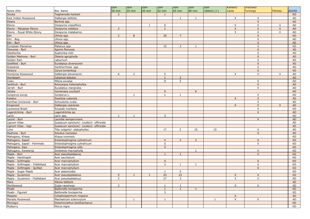|                                |                                          | cbm            | cbm            | cbm          | cbm            | cbm             | cbm            | cbm         | Kanteln/     | Drechsel/                 |                 |           |
|--------------------------------|------------------------------------------|----------------|----------------|--------------|----------------|-----------------|----------------|-------------|--------------|---------------------------|-----------------|-----------|
| Name (EN)                      | Bot. Name                                | 26 mm          | 35 mm          | 40 mm        | <b>52 mm</b>   | $65 \text{ mm}$ | 80 mm          | $100mm (+)$ | <b>Cants</b> | <b>Turnings</b>           | <b>Flitches</b> | AD/KD     |
| <b>Douka</b>                   | Tieghemella heckelii                     | $\overline{2}$ |                |              | 1              |                 |                |             |              |                           |                 | <b>KD</b> |
| East Indian Rosewood           | Dalbergia latifolia                      |                |                |              |                | 1               | 1              |             | X            | $\times$                  |                 | AD        |
| Ebiara                         | Berlinia spp.                            |                |                |              |                |                 |                |             |              | $\mathsf{X}$              |                 | <b>KD</b> |
| Ebony                          | Diospyros crassiflora                    |                |                | $\mathbf{1}$ | 5              |                 |                |             | X            | X                         | X               | AD        |
| Ebony - Macassar Ebony         | Diospyros celebica                       | $\overline{2}$ |                |              | $\overline{2}$ |                 |                |             | $\mathsf{X}$ | $\mathsf{X}$              | $\times$        | <b>AD</b> |
| Ebony - Royal White Ebony      | Diospyros malabarica                     |                |                |              |                |                 |                |             | X            | X                         | $\mathsf{X}$    | AD        |
| Elm                            | Ulmus spp.                               | $\overline{2}$ | 8              |              | 39             | $\overline{7}$  |                |             |              | $\mathsf X$               |                 | <b>KD</b> |
| Elm - Bog                      | Ulmus spp.                               |                |                |              |                |                 |                |             |              | $\times$                  |                 | AD        |
| Elm - Burl                     | Ulmus spp.                               |                |                |              |                |                 |                |             |              | $\mathsf{X}$              |                 | <b>AD</b> |
| European Planetree             | Platanus spp.                            |                |                |              | 15             | 3               | -1             |             |              | $\boldsymbol{\mathsf{X}}$ |                 | KD.       |
| Flexuosa - Burl                | Agonis flexuosa                          |                |                |              |                |                 |                |             |              | $\mathsf{X}$              |                 | <b>AD</b> |
| Gleditschie                    | Euphorbia milii                          |                |                |              |                |                 |                |             |              | X                         |                 | AD        |
| Golden Madrone - Burl          | Olearia agrophylla                       |                |                |              |                |                 |                |             |              | $\mathsf X$               |                 | <b>AD</b> |
| Golden Rain                    | Laburnum                                 |                |                |              |                |                 |                |             |              | $\boldsymbol{\mathsf{X}}$ |                 | AD        |
| Goldfield - Burl               | Eucaliptus diversicolor                  |                |                |              |                |                 |                |             |              | $\mathsf{X}$              |                 | <b>AD</b> |
| Grasstree                      | Xanthorrhoea spp.                        |                |                |              |                |                 |                |             |              | X                         |                 | AD        |
| Hickory                        | Carya tomentosa                          |                |                |              |                |                 |                |             |              | $\mathsf X$               |                 | <b>KD</b> |
| Honduras Rosewood              | Dalbergia stevensonii                    | 6              | $\overline{2}$ |              | 5              |                 |                |             | X            | $\boldsymbol{\mathsf{X}}$ | X               | AD        |
| Hornbeam                       | Carpinus betulus                         |                |                |              | $\mathbf{1}$   | $\overline{2}$  |                |             |              |                           |                 | <b>AD</b> |
| Iroko                          | Milicia excelsa                          |                |                |              | 9              | 5               |                |             |              | X                         |                 | KD.       |
| Jackfruit - Burl               | Artocarpus heterophyllus                 |                |                |              |                |                 |                |             |              | $\mathsf{X}$              |                 | <b>AD</b> |
| Jarrah - Burl                  | Eucaliptus marginata                     |                |                |              |                |                 |                |             |              | X                         |                 | AD        |
| Jatoba                         | Hymenaea courbaril                       |                |                |              | 5              |                 | 6              |             |              |                           |                 | <b>AD</b> |
| Juniperus europ.               | Juniperus L.                             |                | -1             |              | $\mathbf{1}$   | 1               |                |             |              | $\times$                  |                 | KD.       |
| Katalox                        | Swartzia cubensis                        |                |                |              |                |                 |                |             | $\mathsf X$  | $\mathsf{X}$              |                 | <b>AD</b> |
| Kenthao Ironwood - Burl        | Schoutenia ovata                         |                |                |              |                |                 |                |             |              | X                         |                 | AD        |
| Kingwood                       | Dalbergia cearensis                      |                |                |              |                |                 |                |             | X            | $\mathsf{X}$              | $\times$        | <b>AD</b> |
| Lacewood Brasil                | Roupala montana                          |                |                |              |                |                 |                |             |              | $\times$                  |                 | KD        |
| Lagerströmia - Burl            | Lagerströmia sp.                         |                |                |              |                |                 |                |             |              | $\mathsf{X}$              |                 | <b>AD</b> |
| Larch                          |                                          | $\overline{1}$ | $\mathbf{1}$   |              | 3              |                 |                |             |              |                           |                 | KD.       |
| Laurel - Burl                  | Larix spp.<br>Laurelia sempervirens      |                |                |              |                |                 |                |             |              | $\mathsf{X}$              |                 | AD        |
| Lignum Vitae                   | Guaiacum sanctum/- coulteri/- officinale |                |                |              |                |                 |                |             |              |                           |                 | AD        |
|                                |                                          |                |                |              |                |                 |                |             |              |                           |                 | <b>AD</b> |
| Lignum Vitae - logs            | Guaiacum sanctum/- coulteri/- officinale |                |                |              | 17             | $\overline{2}$  | 15             | 15          |              |                           |                 | AD        |
| Lime                           | Tilia vulgaris/- platyphyllos            |                |                |              |                |                 |                |             |              | $\times$                  |                 |           |
| Madrone - Burl                 | Arbutus menziesii                        |                |                |              |                |                 |                |             |              | $\mathsf{X}$              |                 | <b>AD</b> |
| Mahogany, Khaya                | Khaya ivorensis                          |                |                |              |                |                 |                |             |              |                           |                 | KD.       |
| Mahogany, Sapeli               | Entandophragma cylindricum               |                |                |              | $\overline{4}$ | $\overline{2}$  | $\overline{2}$ |             |              | $\boldsymbol{\mathsf{X}}$ |                 | <b>KD</b> |
| Mahogany, Sapeli - Pommele     | Entandophragma cylindricum               |                |                |              | 5              |                 |                |             |              | X                         |                 | KD        |
| Mahogany, Sipo                 | Entandophragma utile                     |                |                |              | 5              |                 |                |             |              |                           |                 | <b>KD</b> |
| Mahogany, Swietenia            | Swietenia macrophylla                    |                |                |              |                |                 | -1             |             |              | X                         |                 | KD        |
| Maple - Burl                   | Acer pseudoplatanus                      |                |                |              | $\mathbf{1}$   | $\mathbf{1}$    |                |             |              | $\mathsf{X}$              |                 | <b>KD</b> |
| Maple - Hardmaple              | Acer saccharum                           |                |                |              |                |                 |                |             |              |                           |                 | KD        |
| Maple - Softmaple              | Acer macrophyllum                        |                |                |              | $\overline{4}$ |                 |                |             |              | $\mathsf{X}$              |                 | KD.       |
| Maple - Softmaple - Fiddleback | Acer macrophyllum                        |                |                |              | $\mathsf{3}$   | 1               | $\mathbf{1}$   |             |              | $\mathsf X$               |                 | KD        |
| Maple - Softmaple - Quilted    | Acer macrophyllum                        |                |                |              |                |                 |                |             |              | $\mathsf{X}$              |                 | <b>KD</b> |
| Maple - Sugar Maple            | Acer platanoides                         |                |                |              | $\mathbf{1}$   | 5 <sub>1</sub>  |                |             |              |                           |                 | KD        |
| Maple - Sycamore               | Acer pseudoplatanus                      | 5              | $\mathbf{1}$   | $\mathbf{1}$ | 43             | 22              |                |             | $\mathsf X$  | $\mathsf{X}$              |                 | <b>KD</b> |
| Maple - Sycamore - Fiddleback  | Acer pseudoplatanus                      | $\overline{2}$ |                |              | 27             | 3               |                |             | X            | X                         |                 | KD        |
| Mara                           | Albizia lebbeck                          |                |                |              |                |                 |                |             |              |                           |                 | AD        |
| Marblewood                     | Zygia racemosa                           | $\overline{2}$ |                |              | $\mathbf{1}$   | 1               |                |             | X            | $\times$                  |                 | AD        |
| Moabi                          | Baillonelle toxisperma                   |                |                |              | $\mathbf{1}$   | $\mathbf{1}$    | $\mathbf{1}$   |             |              |                           |                 | <b>KD</b> |
| Moabi - Figured                | Baillonelle toxisperma                   |                |                |              | 3              |                 |                |             |              |                           |                 | KD        |
| Mopane                         | Colophospermum mopane                    |                |                |              |                |                 |                |             | $\mathsf{X}$ |                           |                 | AD        |
| Morado Rosewood                | Machaerium scleroxylum                   |                | 1              |              | $\mathbf{1}$   |                 |                | 1           | $\times$     | $\times$                  |                 | AD        |
| Movingui                       | Distemonathus benthamianus               |                |                |              |                |                 |                |             |              |                           |                 | <b>KD</b> |
| Mulberry                       | Morus nigra                              |                |                |              |                |                 |                |             |              |                           |                 | <b>KD</b> |